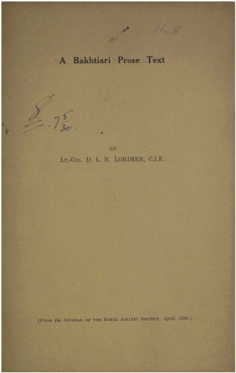# A Bakhtiari Prose Text

 $\overline{\phantom{a}}$ 

 $8.75$ 

No of the

No.8

BY

LT.-COL. D. L. R. LORIMER, C.I.E.

[From the JOURNAL OF THE ROYAL ASIATIC SOCIETY, April, 1930.]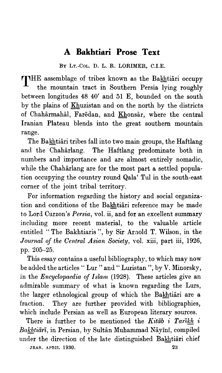# **A Bakhtiari Prose Text**

BY LT.-COL. D. L. R. LORIMER, C.I.E.

**4** THE assemblage of tribes known as the Bakhtiari occupy the mountain tract in Southern Persia lying roughly between longitudes 48 40' and 51 E, bounded on the south by the plains of Khuzistan and on the north by the districts of Chaharmahal, Faredan, and Khonsar, where the central Iranian Plateau blends into the great southern mountain range.

The Bakhtiari tribes fall into two main groups, the Haftlang and the Chahirlang. The Haftlang predominate both in numbers and importance and are almost entirely nomadic, while the Chaharlang are for the most part a settled population occupying the country round Qala' Tul in the south-east corner of the joint tribal territory.

For information regarding the history and social organization and conditions of the Bakhtiari reference may be made to Lord Curzon's Persia, vol. ii, and for an excellent summary including more recent material, to the valuable article entitled " The Bakhtiaris ", by Sir Arnold T. Wilson, in the Journal of *the* Central Asian Society, vol. xiii, part iii, 1926, pp. 205-25.

This essay contains a useful bibliography, to which may now be added the articles " Lur " and " Luristan ", by V. Minorsky, in the *Encyclopaedia of Islam* (1928). These articles give an admirable summary of what is known regarding the Lurs, the larger ethnological group of which the Bakhtiari are a fraction. They are further provided with bibliographies, which include Persian as well as European literary sources.

There is further to be mentioned the Kitab i Tarikh i  $Bakhti\bar{a}r\bar{i}$ , in Persian, by Sultan Muhammad Nāyīnī, compiled under the direction of the late distinguished Bakhtiari chief **JRAS. APRIL 1930. 2 3**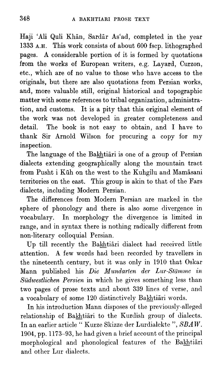Haji 'Ali Quli Khan, Sardar As'ad, completed in the year **1333 A.H.** This work consists of about 600 fscp. lithographed pages. A considerable portion of it is formed by quotations from the works of European writers, e.g. Layard, Curzon, etc., which are of no value to those who have access to the originals, but there are also quotations from Persian works, and, more valuable still, original historical and topographic matter with some references to tribal organization, administration, and customs. It is a pity that this original element of the work was not developed in greater completeness and detail. The book is not easy to obtain, and I have to thank Sir Arnold Wilson for procuring a copy for my inspection.

The language of the Bakhtiari is one of a group of Persian dialects extending geographically along the mountain tract from Pusht i Kūh on the west to the Kuhgilu and Mamāsani territories on the east. This group is akin to that of the Fars dialects, including Modern Persian.

The differences from Modern Persian are marked in the sphere of phonology and there is also some divergence in vocabulary. In morphology the divergence is limited in range, and in syntax there is nothing radically different from non-literary colloquial Persian.

Up till recently the Bakhtiari dialect had received little attention. A few words had been recorded by travellers in the nineteenth century, but it was only in 1910 that Oskar Mann published his *Die Mundarten der Lur-Stämme in Südwestlichen Persien* in which he gives something less than two pages of prose texts and about 339 lines of verse, and a vocabulary of some 120 distinctively Bakhtiari words.

In his introduction Mann disposes of the previously-alleged relationship of Bakhtiari to the Kurdish group of dialects. In an earlier article " Kurze Skizze der Lurdialekte ", SBAW. 1904, pp. 1173-93, lie had given a brief account of the principal morphological and phonological features of the Bahtiari and other Lur dialects.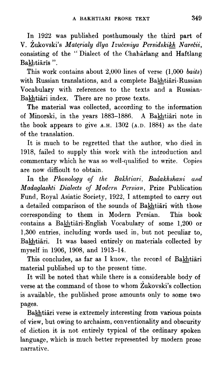In 1922 was published posthumously the third part of V. Zukovski's *Materialy dlya Izučeniya Persidskikh Narečii*, consisting of the "Dialect of the Chaharlang and Haftlang Bakhtiārīs ".

This work contains about 2,000 lines of verse (1,000 *baits)*  with Russian translations, and a complete Bakhtiari-Russian Vocabulary with references to the texts and a Russian-Bakhtiāri index. There are no prose texts.

The material was collected, according to the information of Minorski, in the years 1883-1886. A Bakhtiari note in the book appears to give A.H. 1302 (A.D. 1884) as the date of the translation.

It is much to he regretted that the author, who died in 1918, failed to supply this work with the introduction and commentary which he was so well-qnalified to write. Copies are now diffioult to obtain.

In the Phonology of the Bakhtiari, Badakhshani and *Madnglashti Dia,lects* of Modern *Persian,* Prize Publication Fund, Royal Asiatic Society, 1922, I attempted to carry out a detailed comparison of the sounds of Bakhtiari with those corresponding to them in Modern Persian. This book contains a Bakhtiāri-English Vocabulary of some 1,200 or 1,300 entries, including words used in, but not peculiar to, Bakhtiāri. It was based entirely on materials collected by myself in 1906, 1908, and 1913-14.

This concludes, as far as I know, the record of Bakhtiari material published up to the present time.

It will be noted that while there is a considerable body of verse at the command of those to whom Žukovski's collection is available, the published prose amounts only to some two pages.

Bakhtiāri verse is extremely interesting from various points of view, but owing to archaism, conventionality and obscurity of diction it is not entirely typical of the ordinary spoken language, which is much better represented by modern prose narrative.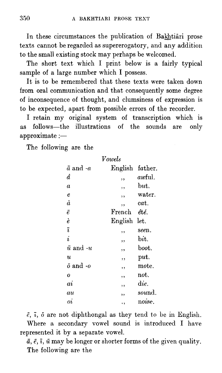In these circumstances the publication of Bakhtiari prose texts cannot be regarded as supererogatory, and any addition to the small existing stock may perhaps be welcomed.

The short text which I print below is a fairly typical sample of a large number which I possess.

It is to be remembered that these texts were taken down from oral communication and that consequently some degree of inconsequence of thought, and clumsiness of expression is to be expected, apart from possible errors of the recorder.

I retain my original system of transcription which is as follows-the illustrations of the sounds are only  $approximate:$ 

The following are the

| $\it Vowels$        |                 |                 |  |  |
|---------------------|-----------------|-----------------|--|--|
| $\bar{a}$ and - $a$ | English father. |                 |  |  |
| $\mathring{a}$      | , ,             | <i>awful.</i>   |  |  |
| $\alpha$            | , ,             | but.            |  |  |
| $\pmb{e}$           | ,               | water.          |  |  |
| à                   | , ,             | cat.            |  |  |
| $\bar{e}$           | French été.     |                 |  |  |
| è                   | English let.    |                 |  |  |
| $\bar{\imath}$      | ,,              | seen.           |  |  |
| $\boldsymbol{i}$    | ,,              | bit.            |  |  |
| $\bar{u}$ and -u    | , ,             | boot.           |  |  |
| $\boldsymbol{u}$    | ,               | put.            |  |  |
| $\bar{o}$ and -0    | , ,             | mote.           |  |  |
| 0                   | , ,             | not.            |  |  |
| $\it ai$            | , ,             | $\mathrm{d}ie.$ |  |  |
| au                  | ,,              | sound.          |  |  |
| $\overline{a}$      | ٠,              | noise.          |  |  |

 $\tilde{e}$ ,  $\tilde{i}$ ,  $\tilde{o}$  are not diphthongal as they tend to be in English. Where a secondary vowel sound is introduced I have represented it by a separate vowel.

 $\bar{a}, \bar{e}, \bar{i}, \bar{u}$  may be longer or shorter forms of the given quality. The following are the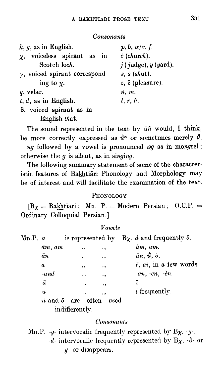| $k, q$ , as in English.               | p, b, w/v, f.            |
|---------------------------------------|--------------------------|
| $x$ , voiceless spirant as in         | $\check{c}$ (church).    |
| Scotch loch.                          | $j$ (judge), $y$ (yard). |
| $\gamma$ , voiced spirant correspond- | $s, \dot{s}$ (shut).     |
| ing to $\chi$ .                       | $z, \zeta$ (pleasure).   |
| $q$ , velar.                          | n, m.                    |
| $t, d$ , as in English.               | l, r, h.                 |
| $\delta$ , voiced spirant as in       |                          |
|                                       |                          |

English that.

The sound represented in the text by  $\bar{u}\tilde{n}$  would, I think, be more correctly expressed as  $\tilde{u}^n$  or sometimes merely  $\tilde{u}$ .

ng followed by a vowel is pronounced nog as in mongrel; otherwise the  $q$  is silent, as in singing.

The following summary statement of some of the characteristic features of Bakhtiari Phonology and Morphology may be of interest and will facilitate the examination of the text.

#### PHONOLOGY

 $[B<sub>X</sub> = Bakhtiāri; Mn. P. = Modern Persian; O.C.P. =$ Ordinary Colloquial Persian.]

# **V**owels

| Mn.P. $\bar{a}$ |                  |                                       |                 | is represented by $B_X$ . $\dot{a}$ and frequently $\delta$ . |  |
|-----------------|------------------|---------------------------------------|-----------------|---------------------------------------------------------------|--|
|                 | $\bar{a}m$ , am  | , ,                                   | , ,             | $\bar{u}m$ , $um$ .                                           |  |
|                 | $\bar{a}n$       | 22                                    | $\mathbf{r}$    | $\bar{u}n, \, \tilde{\bar{u}}, \, \tilde{\bar{v}}.$           |  |
|                 | a                | $\cdot$                               | $\cdot$         | $\overline{e}$ , <i>ai</i> , in a few words.                  |  |
|                 | $-and$           | , ,                                   | , ,             | $-an, -en, -en.$                                              |  |
|                 | ū                | , ,                                   | $\cdot$         | ī                                                             |  |
|                 | $\boldsymbol{u}$ | , ,                                   | $\cdot$ $\cdot$ | $i$ frequently.                                               |  |
|                 |                  | $\tilde{u}$ and $\tilde{o}$ are often | used            |                                                               |  |

indifferently.

# Consonants

Mn.P.  $-q$ - intervocalic frequently represented by B $\chi$ . -y-.  $-d$ - intervocalic frequently represented by B<sub>X</sub>. - $\delta$ - or -y- or disappears.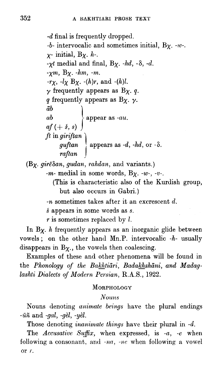```
-d final is frequently dropped.
         -b- intervocalic and sometimes initial, B<sub>X</sub>. -v.
         x- initial, Bx. h-.
         -xt medial and final, B_{\chi}. -hd, -\delta, -d.
         -xm, B_X. -hm, -m.
         -r\chi, -l\chi B\chi. -(h)r, and -(h)l.
         \gamma frequently appears as B<sub>\chi</sub>. q.
         q frequently appears as B_{\chi}. \gamma.
         \bar{a}b\left\{ \text{ appear as } -au. \right.abaf (+ \check{s}, s)ft in giriftan 
               guftan \{ appears as -d, -hd, or -\delta.
               raftan j 
(B_{\chi}. gire\deltaan, gudan, rahdan, and variants.)
        -m- medial in some words, B<sub>X</sub>. -w-, -v-.
```
(This is characteristic also of the Kurdish group, but also occurs in Gabri.)

 $-n$  sometimes takes after it an excrescent d.

**i** appears in some words as s.

 $r$  is sometimes replaced by  $l$ .

In  $B_X$ . *h* frequently appears as an inorganic glide between vowels ; on the other hand Mn.P. intervocalic *-h-* usually disappears in  $B_X$ , the vowels then coalescing.

Examples of these and other phenomena will be found in the Phonology of the Bakhtiāri, Badakhshāni, and Madaglashti Dialects of Modern Persian, R.A.S., 1922.

# MORPHOLOGY

# **Nouns**

Nouns denoting *animate beings* have the plural endings  $-i\tilde{u}\tilde{n}$  and -gal, -gèl, -yèl.

Those denoting *inanimate things* have their plural in  $-\vec{a}$ .

The *Accusative Suffix*, when expressed, is *-a*, *-e* when following a consonant, and  $-a$ ,  $-a$  when following a vowel or  $r$ .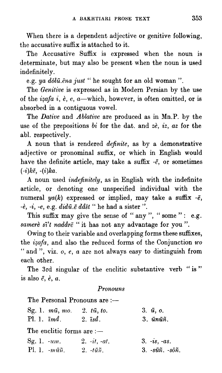When there is a dependent adjective or genitive following, the accusative suffix is attached to it.

The Accusative Suffix is expressed when the noun is determinate, but may also be present when the noun is used indefinitely.

e.g. ya  $d\bar{\partial}l\bar{u}.\bar{e}na$  just " he sought for an old woman".

The *Genitive* is expressed as in Modern Persian by the use of the izafa i,  $\dot{e}$ , e, a—which, however, is often omitted, or is absorbed in a contiguous vowel.

The *Dative* and *Ablative* are produced as in Mn.P. by the use of the prepositions bi for the dat. and  $z\dot{e}$ , iz, az for the abl. respectively.

A noun that is rendered *definite*, as by a demonstrative adjective or pronominal suffix, or which in English would have the definite article, may take a suffix  $-\bar{e}$ , or sometimes  $(-i)k\bar{e}$ ,  $-(i)ka$ .

A noun used *indefinitely*, as in English with the indefinite article, or denoting one unspecified individual with the numeral  $ya(k)$  expressed or implied, may take a suffix  $-\bar{e}$ ,  $-e$ ,  $-i$ ,  $-e$ ,  $e$ .g.  $did\bar{u}.\bar{e} \, d\tilde{a}\tilde{s}t$  " he had a sister ".

This suffix may give the sense of "any", "some": e.g. samerè si't nadårē " it has not any advantage for you ".

Owing to their variable and overlapping forms these suffixes, the  $izafa$ , and also the reduced forms of the Conjunction  $wo$ <sup>&</sup>lt;**4** and ", viz. o, *e,* a are not always easy to distinguish from each other.

The 3rd singular of the enclitic substantive verb "is" is also  $\bar{e}$ ,  $\dot{e}$ ,  $a$ .

# **Pronouns**

The Personal Pronouns are :--

|                              | Sg. 1. mū, mo. | $2.~t\overline{u}, to.$     | 3. $\bar{u}$ , o.              |
|------------------------------|----------------|-----------------------------|--------------------------------|
| Pl. 1. $\bar{i}m\tilde{a}$ . |                | $2. \bar{i}s\dot{\bar{a}}.$ | $3. \bar{u}n\bar{u}\tilde{n}.$ |

The enclitic forms are  $:$   $-$ 

| Sg. 1. $\text{-}um$ . |                               | $2. -it, -at.$              | $3. -is, -as.$                                             |
|-----------------------|-------------------------------|-----------------------------|------------------------------------------------------------|
|                       | Pl. 1. $-m\bar{u}\tilde{n}$ . | $2.1 \tilde{u} \tilde{n}$ . | $3. -s\overline{u}\tilde{n}$ . $-s\overline{o}\tilde{n}$ . |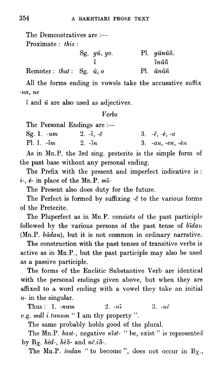| The Demonstratives are $:$ —     |                                      |
|----------------------------------|--------------------------------------|
| Proximate: this:                 |                                      |
| Sg. $y\bar{u}$ , yo.             | Pl. $y\bar{u}n\bar{u}\tilde{n}$ .    |
|                                  | $\bar{\imath}n\bar{\imath}\tilde{n}$ |
| Remoter: that: Sg. $\bar{u}$ , o | PI.<br>$\bar{u}n\bar{u}\tilde{n}$    |

All the forms ending in vowels take the accusative suffix  $-na, ne$ 

 $\overline{i}$  and  $\overline{u}$  are also used as adjectives.

**Verbs** 

|                                    | The Personal Endings are :- |                                   |
|------------------------------------|-----------------------------|-----------------------------------|
| Sg. 1. $\textit{-um}$              | 2. $-\bar{i}$ , $-\bar{e}$  | 3. $-\bar{e}$ , $-\dot{e}$ , $-a$ |
| Pl. 1. $\overline{\cdot}$ <i>m</i> | $2. -in$                    | 3. $-an, -en, -en$                |

As in Mn.P. the 3rd sing. preterite is the simple form of the past base without any personal ending.

The Prefix with the present and imperfect indicative is:  $i-$ , è- in place of the Mn.P.  $m\overline{i}$ -

The Present also does duty for the future.

The Perfect is formed by suffixing  $-\bar{e}$  to the various forms of the Preterite.

The Pluperfect as in Mn.P. consists of the past participle followed by the various persons of the past tense of bidan  $(Mn.P. būdan)$ , but it is not common in ordinary narrative.

The construction with the past tenses of transitive verbs is active as in Mn.P., but the past participle may also be used as a passive participle.

The forms of the Enclitic Substantive Verb are identical with the personal endings given above, but when they are affixed to a word ending with a vowel they take an initial  $n$ - in the singular.

Thus:  $1. -num$  $2 - n\bar{\iota}$  $3. -n\bar{e}$ e.g. mål i tunum " I am thy property ".

The same probably holds good of the plural.

The Mn.P. hast-, negative nist- "be, exist " is represented by Bx. hèd-, hè  $\delta$ - and nē.i $\delta$ -.

The Mn.P. sudan " to become", does not occur in  $B_X$ .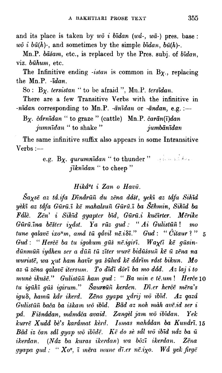and its place is taken by  $w\bar{o}$  *i* bidan ( $w\bar{a}$ -,  $w\bar{a}$ -) pres. base:  $w\bar{o}$  *i*  $b\bar{u}(h)$ -, and sometimes by the simple  $b\bar{u}$ dan,  $b\bar{u}(h)$ -.

Mn.P. bāšam, etc., is replaced by the Pres. subj. of bidan, viz. būhum. etc.

The Infinitive ending *-istan* is common in  $B_{\chi}$ , replacing the Mn.P.  $-*ida*n$ .

So : B $\chi$ . tersistan " to be afraid ", Mn.P. tersīdan.

There are a few Transitive Verbs with the infinitive in -nīdan corresponding to Mn.P. -ānīdan or -āndan, e.g. :-

Bx. čårnīdan " to graze " (cattle) Mn.P. čarān(ī)dan jumnidan " to shake" jumbānīdan

The same infinitive suffix also appears in some Intransitive  $Verbs :=$ 

> e.g. By. qurumnidan " to thunder" and side.  $j\bar{i}k\bar{n}$ *idan* " to cheep"

# Hikå<sup>a</sup>t i Zan o Havū.

Šaxsē az tå.ifa Dīnārūñ du zēna dāšt, yekī az tāfa Sihīd yèkī az tâfa Gūrū.ī kē mahalsuñ Gūrū.ī ba Šēhmin, Sihīd ba Fålè. Zen' i Sihīd qyapter bīd, Gūrū.i kučīrter. Mērike Gūrū.īna bēšter ixast. Ya rūz gud: "Ai Gulistūñ!  $mo$ tune qalavē ixo"m, amā tū qāvil nē.idī." Gud: "Čitaur?"  $\overline{5}$ Gud: "Herčē ba tu igohum gūš nē.igirī. Waxtī kē gūsindūnmūñ iyåhen ser a dūñ tū zīter wurē bidūšsuñ kē ū zēna na wuristē, wa xut ham havīr ya šūlwā kē dārīm rāst bikun. Mo az ū zēna galavē itersum. To dīdī dōrī ba mo dād. Az laj i to munè ikušē." Gulistūñ ham gud: "Ba min e tē.um! Herče 10 tu igūhī gūš igirum." Šaursūñ kerden. Dī.er herčē mēra's iquδ, hamū kår ikerd. Zēna gyapa xårij wō ibīd. Az qazå Gulistūñ bača ba iškam wō ibīd. Bād az noh màh avē.id ser i på. Fišnådan, måmåča avaid. Zangèl jam wō ibīdan. Yek kurrē Xudā bè's karāmat kèrd. Ismas nahādan ba Kunārī. 15 Bād iz čan sål gyap wō ibīdē. Kē do sè sål wō ibīd nåz ba ū ikerdan. (Nåz ba kuras ikerdan) wa bōzī ikerdan. Zēna gyapa gud : "  $Xo^v$ , ī mēra mune dī er nē ixo. Wā yek firgē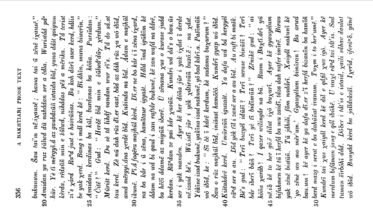20 Avaidan ya ruz šūluđ dū nahådan ser a čåla. Wuriståd på<sup>e</sup> Sau tai'm nē.ixausē; hama tai ū zēnē ixausē."  $\boldsymbol{b}$ ukunum.

- hūr. Yè tī mērgyī .đ az gaubāzūñ istaida bīd, yuna dāst qoiyum kèrda, rēdsūñ min e šūluvi, nihádas pēš a mērika. Tá terist zi's xard Raad just e haivūñas. Ba koh dorī aser kerd, hālis be yak xerd. Bang i mål kerd kē: "Bī.åhīn, muna biwerīn." Pursīdan: 25 Avaidan, kerdinas ba kūl, burdanas ba hōña.
- $``\check{C}it\bar{e}$ ?"  $Gud:$  "Herčē bīd min e šūlwádū $\gamma$  xerdum." Mürist kerd. Du sè tå lihåf vandan wur ri's. Tå do så.at tau kerd. Zè nū dah rūz dī.er vast, bād az dàh rūz xu wō ibīd, amå mērgyi.åna xerdè bīd. Kušinda na bīd. Ádam e majhūl
- ū zēna, hamītaur igyašt. Hålå īmå igūhīm kē ba hēčī ddamē az miyūñ iberē.  $\bar{U}$  zēnana  $\chi$ us o kurase judā kerdan. Rā<sup>a</sup>dan ze pai kār <sub>X</sub>usūñ. Kunāri wā dā's o bau.ūs  $30$  ikunē. Pī. i faqēra majhūl kèrd. Dī. $er$  ne ba kår i ī zēna i $\chi$ ard, ådam na wå bi qaul i zan raftår bukunē, kē zan wafå na dårē, na ba kår i
	- $35$  ser i yèk manden. Ayer kē her dōña jūr i yak i $\chi$ åst ī derde Yèkīne izad bukunē, yakīna izad nakunē, yō bad kārī.a. Pašīmūñ nē.izaid bè's. Wō.istī jūr i yèk xátirsūñ buxō.ē; na xást. wō ibīd, ke : " Sī če ī kårē kerdum, kè sadama buxurum ? " Šau o rūz majhūl bīd, inišast hamōčō. Kundrī gyap wō ibīd.
- $\sum_{i=1}^{n} a_i$ 40 Kištakårē kerd. Umūrsūñ iguzašt. Ya dafa urå bå hergyèl bår iberī būñ ? Terī yè tī bidīmūñ ? " Zēnikē gud : " ai<br>hōña xaråb ! I gazer wilingår na bū. Rasm i Baxtī.årī yū rā<sup>a</sup>d ser a au. Dīd yèk tīl i zanē ser a au bīd. Au ruft bi mašk.  $B\grave{e}$ 's gud : "Terī buzyèl idūšī ? Terī serase binūšī ? Terī
	- 45 nē.iδ kē to her gō.ē dilat ixō buxurī. Ayer kē gyaugèlum bifahmen kē tū ī herfå ba mu zaidī, tåza dah nafer imīrē. Birau bistūñ. Tū jåhili, fām nadārī. Xaiyāl nakunī kē Ba arwā bau.um! kë ayer kë ya dafa di.er z'i herfå bizanin ba hamiñ zēnè wa mo mēr'um.' Gyaugèlum bimīran! yak zēnē oh,
- Ayer kē Sad 50 berd mazg i serat e ba dahūñat ivanum.  $T u_{\chi}$ m i to her'umē." tuman šīrbōhī dåd. Dō8er i tåt'is e istaid, xaili såhav daulat Bunyád kerd ba jallávkest. Ixerid, iferov8, yane merdum bifāman jang e qāl ibūhē. U waxt rā<sup>a</sup>d tai tāt'is. Kunarī tai xus xaiyal kerd kē dil e qafil xuv igō. uo ibid.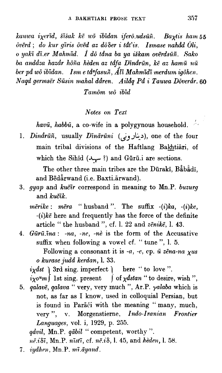kuuwa ixerīd, šīšak kē wō ibīdan iferō.udsūñ. Baxtis ham 55  $\bar{0}$ vērd ; do kur gīris  $\bar{0}$ vēd az dō $\delta$ er i tåt'is. Ismase nahād Ūli, *o* y'llci di.er Mahniul. z d6 *tdrm* bu ya **dhm** wi?rdstifi. ~Sako *ba andåza hazår hõña hèden az tåfa Dinårūn, kē az hamū nū* ber på wō ibīdan. Ism e tå<sup>a</sup>fasuñ,  $\tilde{A}$ lī Mahmīdī merdum igōhen. Nagd germsēr Sūsin mahal dåren. Ailāg Pā i Tauwa Döverar. 60

Tamõm wõ ibid

#### Notes **on** Text

havū, habbū, a co-wife in a polygynous household.  $\phi$ 

1. Din.drzili, usually Dinbtini *(2,* **j6.3).** one of the four main tribal divisions of the Haftlang Bahtiari, of which the Sihid (بسهد) and Gūrū.i are sections.

The other three main tribes are the Dūraki, Babadi, and Bedarwand (i.e. Baxti.arwand).

- 3. *gyap* and *kučir* correspond in meaning to Mn.P. *buzurg* and  $ku\tilde{c}ik$ .
	- $m\bar{e}$ rike :  $m\bar{e}$ ra " husband ". The suffix  $-(i)ka$ ,  $-(i)ke$ ,  $-(i)k\bar{e}$  here and frequently has the force of the definite article " the husband ", cf. 1. 22 and  $z\bar{e}nik\bar{e}$ , 1. 43.
- 4.  $G\bar{u}\bar{r}\bar{u}.\bar{v}\bar{u} = na$ ,  $\bar{v}\bar{e}$ ,  $\bar{v}\bar{e}$  is the form of the Accusative suffix when following a vowel cf. " tune ", 1. 5. Following a consonant it is  $-a$ ,  $-e$ , cp.  $\bar{u}$   $z\bar{e}na$ -na  $\chi u\bar{s}$

*o* kurase jud& kerdan, 1. **33.** 

 $i\chi$ *dst* ) 3rd sing. imperfect ) here " to love ".

 $i\chi o^u m \int 1$ st sing. present  $\int$  of  $\chi$ dstan " to desire, wish ",

5. qalavē, qalava " very, very much ", Ar.P.  $\gamma$ alaba which is not, as far as I know, used in colloquial Persian, but is found in Paraci with the meaning "many, much, very ", v. Morgenstierne, Indo-Iranian. Frontier Languages, vol. i, 1929, p. 255.

 $q\ddot{a}vil$ , Mn.P.  $q\ddot{a}bil$  " competent, worthy ".

 $n\bar{\epsilon}i\delta\bar{\epsilon}$ , Mn.P. nisti, cf. n $\bar{\epsilon}i\delta$ , 1.45, and hèden, 1.58.

<sup>7.</sup> *iyathen*, Mn.P. mī.āyand.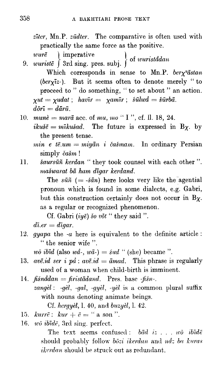zīter, Mn.P. zūdter. The comparative is often used with practically the same force as the positive.

9. wuriste  $\frac{1}{2}$  3rd sing. pres. subj.  $\frac{1}{2}$  of wuristatian

Which corresponds in sense to Mn.P. berx<sup>v</sup>astan (berx $\bar{i}z$ -). But it seems often to denote merely "to proceed to " do something, " to set about " an action.  $\gamma ut = \gamma u \, du$ ; havīr =  $\gamma a \, m \, \bar{i} r$ ; šūlwa $\dot{a} = \dot{s} \, \bar{u} r \, b \, \bar{a}$ .  $d\tilde{o}\tilde{r}\tilde{i} = d\tilde{a}r\tilde{u}.$ 

- 10. *mune* = mara acc. of mu, mo " I ", cf. ll. 18, 24. The future is expressed in  $B_{\chi}$ , by  $iku \check{s} \tilde{e} = m \bar{\imath} k u \check{s} a d$ the present tense.
	- $min$  e tē.um = miyān i čašmam. In ordinary Persian simply  $\check{c}a\check{s}m$  !
- šaursūñ kerdan " they took counsel with each other ".  $11.$ mašwarat bā ham dīgar kerdand.

The  $s\bar{u}\tilde{n}$  (=  $-\dot{s}\bar{a}n$ ) here looks very like the agential pronoun which is found in some dialects, e.g. Gabri, but this construction certainly does not occur in  $B_{\chi}$ . as a regular or recognized phenomenon.

Cf. Gabri ( $iv\bar{e}$ ) so  $v\bar{o}t$  " they said ".

 $d\overline{\iota}.er = d\overline{\iota}qar.$ 

12.  $quapa$  the  $-a$  here is equivalent to the definite article: " the senior wife".

*wō ibīd* (also  $w\hat{a}$ -,  $w\hat{a}$ -) = *sud* " (she) became ".

- 13. ave.id ser i på :  $av\bar{e}$ .id =  $\bar{a}mad$ . This phrase is regularly used of a woman when child-birth is imminent.
- 14. fišnådan = firistädand. Pres. base -fišn-. zangèl: -gèl, -gal, -gyèl, -yèl is a common plural suffix with nouns denoting animate beings. Cf. hergyèl, l. 40, and buzyèl, l. 42.
- 15.  $kurr\tilde{e}$ :  $kur + \tilde{e} =$  " a son ".
- 16.  $w\bar{\sigma}$  ibide, 3rd sing. perfect.

The text seems confused:  $b\bar{a}d$  iz ...  $w\bar{o}$  ibide should probably follow bozi ikerdan and not ba kuras *ikerdan* should be struck out as redundant.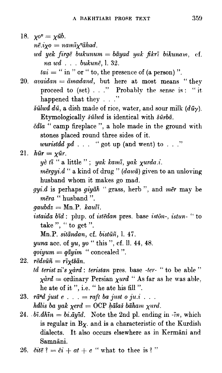18.  $\chi v^* = \chi \bar{u}b$ .  $n\bar{e}.i$ **y** $o = nam\bar{i}$ **y** $\bar{v}\bar{a}had$ .  $w\ddot{a}$  yek firqē bukunum = bāyad yak fikrī bikunam, cf. na wå . . . bukunē. 1. 32.  $tai =$ " in " or " to, the presence of (a person)". 20.  $availan = \bar{a}madand$ , but here at most means "they proceed to (set) . . ." Probably the sense is: "it happened that they . . ." *šūlwā dū*, a dish made of rice, water, and sour milk  $(d\bar{u}\gamma)$ . Etymologically  $\delta$ ullud is identical with  $\delta$ urba. čåla "camp fireplace", a hole made in the ground with stones placed round three sides of it. *wuristad*  $p\ddot{a}$ ... "got up (and went) to ..." 21.  $h\bar{u}r = \gamma \bar{u}r$ . yè tī " a little "; yak kamī, yak  $x$ urda.i.  $m\bar{e}rgyi.\bar{d}$  " a kind of drug" (dawa) given to an unloving husband whom it makes go mad.  $gyi.\dot{a}$  is perhaps  $giy\ddot{a}h$  " grass, herb ", and mer may be mēra "husband".  $qaub\ddot{a}z =$  Mn.P. kaulī. *istaida bīd* : plup. of *istēdan* pres. base *iston-*, *istun-* " to take", " to get". Mn.P. sitāndan, cf. bistūñ, l. 47. *yuna* acc. of  $yu$ ,  $yo$  " this ", cf. ll. 44, 48.  $qoiqum = q\bar{a}qim$  "concealed". 22. rēdsū $\tilde{n} = r\tilde{\imath} \chi t \tilde{\imath} \tilde{a} n$ .  $t\ddot{a}$  terist zi's  $x\dot{a}$  id : teristan pres. base -ter- " to be able "  $x\dot{a}rd = \text{ordinary Persian } xurd$  " As far as he was able, he ate of it", i.e. " he ate his fill ". 23.  $r\bar{a}^{d}d$  just  $e$ ... = raft ba just o ju.i... hålis ba yak yerd = OCP hālaš bāham yurd. 24.  $b\bar{i}.\hat{d}h\bar{i}n = bi.\bar{a}\bar{y}\bar{i}d$ . Note the 2nd pl. ending in  $-\bar{i}n$ , which is regular in  $B_X$ . and is a characteristic of the Kurdish dialects. It also occurs elsewhere as in Kermani and

Samnāni.

26.  $\check{c}i\check{t}\bar{e}$  ?  $=\check{c}i+at+e$  " what to thee is ?"

359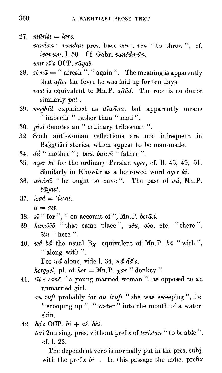- 27.  $m\overline{u}$ rišt = larz. vandan : vandan pres. base van-, vèn "to throw", cf. ivanum, l. 50. Cf. Gabri vanodmūn. wur rī's OCP. rūyaš.
- 28.  $z\dot{e} n\bar{u} =$  "afresh", "again". The meaning is apparently that *after* the fever he was laid up for ten days. vast is equivalent to Mn.P. uftad. The root is no doubt similarly pat-.
- 29.  $majh\bar{u}l$  explained as  $d\bar{u}w\bar{u}n$ , but apparently means "imbecile" rather than "mad".
- 30. pi.å denotes an "ordinary tribesman".
- 32. Such anti-woman reflections are not infrequent in Bakhtiāri stories, which appear to be man-made.
- $d\mathring{a}$  " mother "; bau, bau. $\bar{u}$  " father ".  $34<sub>1</sub>$
- 35. ayer ke for the ordinary Persian ager, cf. ll. 45, 49, 51. Similarly in Khowar as a borrowed word ager ki.
- 36.  $w\overline{o}.ist\overline{i}$  " he ought to have ". The past of  $w\overline{a}$ , Mn.P. bāyast.
- 37. izad = 'izzat.

- 38.  $s\overline{i}$  " for ", " on account of ", Mn.P. berā.i.
- 39. hamočo "that same place", uču, očo, etc. "there",  $\vec{i}$  cu " here ".
- 40.  $w\bar{a}$  bå the usual B<sub>X</sub>. equivalent of Mn.P. bā "with", " along with ".

For wå alone, vide l. 34, wå då's.

*herquel*, pl. of  $her = Mn.P.$   $\gamma ar$  " donkey ".

- 41.  $t\bar{u}$  i zanē " a young married woman", as opposed to an unmarried girl.
	- au ruft probably for au iruft "she was sweeping", i.e. "scooping up", "water" into the mouth of a waterskin.
- 42. bè's OCP. bi + aš, bèš.
	- terī 2nd sing. pres. without prefix of teristan " to be able", cf. 1. 22.

The dependent verb is normally put in the pres. subj. with the prefix  $bi-$ . In this passage the indic. prefix

 $a = ast.$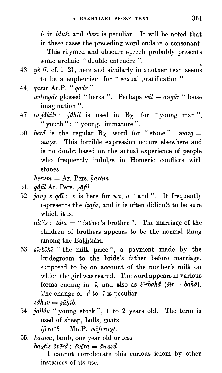*i*- in *idust* and *ibert* is peculiar. It will be noted that

in these cases the preceding word ends in a consonant,. This rhymed and obscure speech probably presents some archaic " double entendre ". **<sup>I</sup>**

- 43.  $y\dot{e}$   $t\bar{i}$ , cf. 1. 21, here and similarly in another text seems to be a euphemism for " sexual gratification ".
- **44.** *qazar* Ar.P. " *qadr* ". *wilingår* glossed " herza ". Perhaps  $wil + ang\bar{a}r$  " loose imagination ".
- 47.  $$ " youth"; " young, immature".
- 50. *berd* is the regular  $B_X$ . word for "stone". *mazg* = **mayz.** This forcible expression occurs elsewhere and is no doubt based on the actual experience of people who frequently indulge in Homeric conflicts with stones.

 $herum = Ar. Pers. *harām*.$ 

- 51.  $q\hat{a}$ *fil* Ar. Pers.  $\gamma \hat{a}$ *fil.*
- *52. jay* e *qdl: e* is here for *wa,* o " and ". It frequently represents the *igfa,* and it is often difficult to be sure which it is.
	- $t\ddot{a}t'$  *is* :  $t\dot{a}ta =$  " father's brother ". The marriage of the children of brothers appears to be the normal thing among the Bakhtiari.
- **53.** *STrb6hi* " the **milk** price ", a payment made by the bridegroom to the bride's father before marriage, supposed to be on account of the mother's milk on which the girl was reared. The word appears in various forms ending in  $-\overline{i}$ , and also as  $\delta \overline{i}$ *rbaha*<sup> $\delta$ </sup> ( $\delta \overline{i}$ *r* + *baha*<sup> $\delta$ </sup>). The change of  $-\vec{a}$  to  $-\vec{i}$  is peculiar.

 $s\ddot{a}hav = s\ddot{a}hib.$ 

- **54.** *jalldv* " young stock ", **1** to **2** years old. The term is used of sheep, bulls, goats.  $i$ *fer* $\bar{\sigma}^u\delta$  = Mn.P. *m* $\bar{i}$ *fer* $\bar{u}$ <sub>X</sub>*t*.
- **55.** *kauwa,* lamb, one year old or less.  $bayt$ *is*  $\bar{o}v\bar{e}rd$  *:*  $\bar{o}v\bar{e}rd = \bar{a}ward$ *.*

I cannot corroborate this curious idiom by other instances of its use.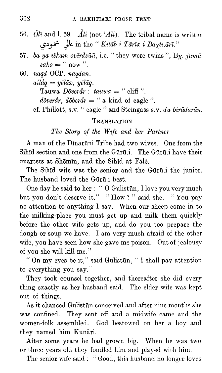- 56.  $\overline{O}l\overline{i}$  and 1.59.  $\overline{Al}i$  (not 'Ali). The tribal name is written نالي محمودی in the '' Kitāb i Tārī $x$  i Ba $\chi$ ti.ārī.''
- 57. ba ya iškam ovērdsūñ, i.e. " they were twins ", B<sub>x</sub>.  $\sum_i$  *jumū*.  $sako = "now".$

60. nnqd OCP. naqdan.  $a$ ilå $q = y\bar{e}l\bar{a}x$ ,  $y\bar{e}l\bar{a}q$ . Tauwa  $\overrightarrow{D}overar$ : tauwa = " cliff". dōverår, dōberår = " a kind of eagle ". cf. Phillott, s.v. " eagle " and Steingass s.v. du birādarān.

#### **TRANSLATION**

The Story of the Wife and her Partner

A man of the Dinaruni Tribe had two wives. One from the Sihid section and one from the Gūrū.i. The Gūrū.i have their quarters at Shēmin, and the Sihid at Fālè.

The Sihid wife was the senior and the Gūrū.i the junior. The husband loved the Gūrū.i best.

One day he said to her : " O Gulistun, I love you very much but you don't deserve it." " How ? " said she. " You pay no attention to anything I say. When our sheep come in to the milking-place you must get up and milk them quickly before the other wife gets up, and do you too prepare the dough or soup we have. I am very much afraid of the other wife, you have seen how she gave me poison. Out of jealousy of you she will kill me."

" On my eyes be it," said Gulistūn, " I shall pay attention to everything you say."

They took counsel together, and thereafter she did every thing exactly as her husband said. The elder wife was kept, out of things.

As it chanced Gulistun conceived and after nine months she was confined. They sent off and a midwife came and the women-folk assembled. God bestowed on her a boy and they named him Kunāri.

After some years he had grown big. When he was two or three years old they fondled him and played with him.

The senior wife said : "Good, this husband no longer loves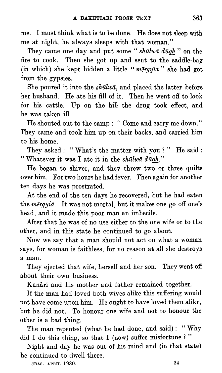me. I must think what is to be done. He does not sleep with me at night, he always sleeps with that woman."

They came one day and put some "  $sh\bar{u}l\bar{w}\bar{a}d\bar{u}gh$ " on the fire to cook. Then she got up and sent to the saddle-bag (in which) she kept hidden **a** little " *mErgy?a* " she had got from the gypsies.

She poured it into the  $sh\bar{u}lw\bar{a}$ , and placed the latter before her husband. He ate his fill of it. Then he went off to look for his cattle. Up on the hill the drug took effect, and he was taken ill.

He shouted out to the camp : " Come and carry me down." They came and took him up on their backs, and carried him to his home.

They asked : " What's the matter with you ? " He said : " Whatever it was I ate it in the shulwa dugh."

He began to shiver, and they threw two or three quilts over him. For two hours he had fever. Then again for another ten days he was prostrated.

At the end of the ten days he recovered, but he had eaten the  $m\bar{e}rgy i\bar{a}$ . It was not mortal, but it makes one go off one's head, and it made this poor man an imbecile.

After that he was of no use either to the one wife or to the other, and in this state he continued to go about.

Now we say that a man should not act on what a woman says, for woman is faithless, for no reason at all she destroys a man.

They ejected that wife, herself and her son. They went off about their own business.

Kunāri and his mother and father remained together.

If the man had loved both wives alike this suffering would not have come upon him. He ought to have loved them alike, but he did not. To honour one wife and not to honour the other is a bad thing.

The man repented (what he had done, and said) : " Why did I do this thing, so that I (now) suffer misfortune ? "

Night and day he was out of his mind and (in that state) he continued to dwell there.

**JRAS. APRIL 1930. 24**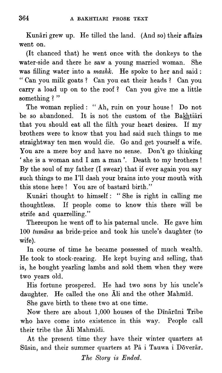Kunāri grew up. He tilled the land. (And so) their affairs went on.

(It chanced that) he went once with the donkeys to the water-side and there he saw a young married woman. She was filling water into a *mashk*. He spoke to her and said: " Can you milk goats ? Can you eat their heads ? Can you carry a load up on to the roof ? Can you give me a little something?"

The woman replied : " Ah, ruin on your house ! Do not be so abandoned. It is not the custom of the Bakhtiari that you should eat all the filth your heart desires. If my brothers were to know that you had said such things to me straightway ten men would die. Go and get yourself a wife. You are a mere boy and have no sense. Don't go thinking ' she is a woman and I am a man '. Death to my brothers ! By the soul of my father (I swear) that if ever again you say such things to me I'll dash your brains into your mouth with this stone here ! You are of bastard birth."

Kunari thought to himself : " She is right in calling me thoughtless. If people come to know this there will be strife and quarrelling."

Thereupon he went off to his paternal uncle. He gave him 100 tumāns as bride-price and took his uncle's daughter (to wife).

In course of time he became possessed of much wealth. He took to stock-rearing. He kept buying and selling, that is, he bought yearling lambs and sold them when they were two years old.

His fortune prospered. He had two sons by his uncle's daughter. He called the one Ali and the other Mahmid.

She gave birth to these two at one time.

Now there are about 1,000 houses of the Dinaruni Tribe who have come into existence in this way. People call their tribe the Ali Mahmidi.

At the present time they have their winter quarters at Süsin, and their summer quarters at Pā i Tauwa i Dōverār.

*The Story* is *Ended.*